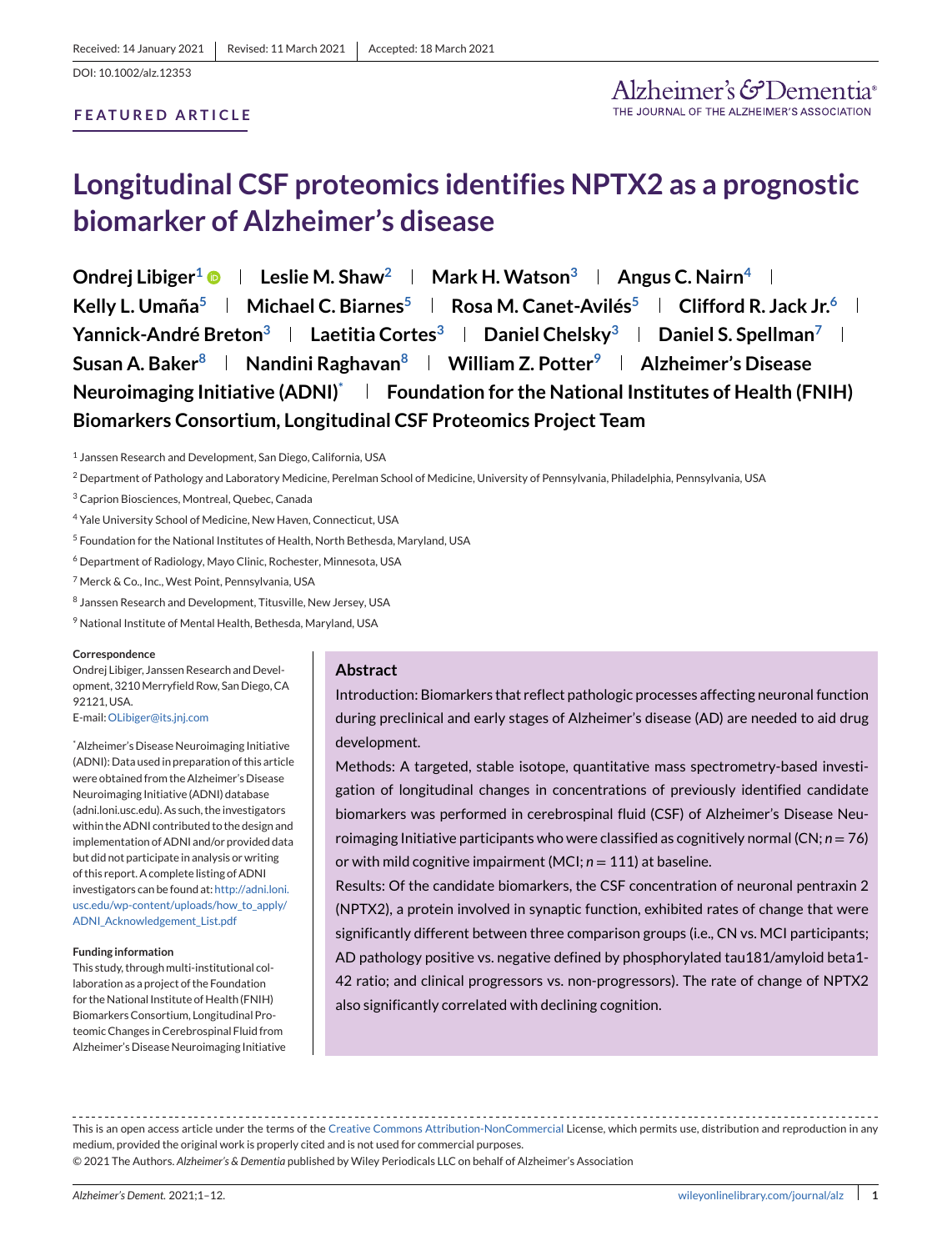# **Longitudinal CSF proteomics identifies NPTX2 as a prognostic biomarker of Alzheimer's disease**

**Ondrej Libiger<sup>1</sup> • Leslie M. Shaw<sup>2</sup> Result Mark H. Watson<sup>3</sup> Results Angus C. Nairn<sup>4</sup> Kelly L. Umaña<sup>5</sup> | Michael C. Biarnes<sup>5</sup> | Rosa M. Canet-Avilés<sup>5</sup> | Clifford R. Jack Jr.<sup>6</sup> | Yannick-André Breton<sup>3</sup> | Laetitia Cortes<sup>3</sup> | Daniel Chelsky<sup>3</sup> | Daniel S. Spellman<sup>7</sup> | Susan A. Baker8 Nandini Raghavan8 William Z. Potter9 Alzheimer's Disease Neuroimaging Initiative (ADNI)\* Foundation for the National Institutes of Health (FNIH) Biomarkers Consortium, Longitudinal CSF Proteomics Project Team**

<sup>1</sup> Janssen Research and Development, San Diego, California, USA

<sup>2</sup> Department of Pathology and Laboratory Medicine, Perelman School of Medicine, University of Pennsylvania, Philadelphia, Pennsylvania, USA

- <sup>4</sup> Yale University School of Medicine, New Haven, Connecticut, USA
- <sup>5</sup> Foundation for the National Institutes of Health, North Bethesda, Maryland, USA
- <sup>6</sup> Department of Radiology, Mayo Clinic, Rochester, Minnesota, USA
- <sup>7</sup> Merck & Co., Inc., West Point, Pennsylvania, USA
- <sup>8</sup> Janssen Research and Development, Titusville, New Jersey, USA
- <sup>9</sup> National Institute of Mental Health, Bethesda, Maryland, USA

#### **Correspondence**

Ondrej Libiger, Janssen Research and Development, 3210Merryfield Row, San Diego, CA 92121, USA. E-mail:[OLibiger@its.jnj.com](mailto:OLibiger@its.jnj.com)

\* Alzheimer's Disease Neuroimaging Initiative (ADNI): Data used in preparation of this article were obtained from the Alzheimer's Disease Neuroimaging Initiative (ADNI) database (adni.loni.usc.edu). As such, the investigators within the ADNI contributed to the design and implementation of ADNI and/or provided data but did not participate in analysis or writing of this report. A complete listing of ADNI investigators can be found at: [http://adni.loni.](http://adni.loni.usc.edu/wp-content/uploads/how_to_apply/ADNI_Acknowledgement_List.pdf) [usc.edu/wp-content/uploads/how\\_to\\_apply/](http://adni.loni.usc.edu/wp-content/uploads/how_to_apply/ADNI_Acknowledgement_List.pdf) [ADNI\\_Acknowledgement\\_List.pdf](http://adni.loni.usc.edu/wp-content/uploads/how_to_apply/ADNI_Acknowledgement_List.pdf)

#### **Funding information**

This study, through multi-institutional collaboration as a project of the Foundation for the National Institute of Health (FNIH) Biomarkers Consortium, Longitudinal Proteomic Changes in Cerebrospinal Fluid from Alzheimer's Disease Neuroimaging Initiative

#### **Abstract**

Introduction: Biomarkers that reflect pathologic processes affecting neuronal function during preclinical and early stages of Alzheimer's disease (AD) are needed to aid drug development.

Methods: A targeted, stable isotope, quantitative mass spectrometry-based investigation of longitudinal changes in concentrations of previously identified candidate biomarkers was performed in cerebrospinal fluid (CSF) of Alzheimer's Disease Neuroimaging Initiative participants who were classified as cognitively normal (CN; *n* = 76) or with mild cognitive impairment (MCI;  $n = 111$ ) at baseline.

Results: Of the candidate biomarkers, the CSF concentration of neuronal pentraxin 2 (NPTX2), a protein involved in synaptic function, exhibited rates of change that were significantly different between three comparison groups (i.e., CN vs. MCI participants; AD pathology positive vs. negative defined by phosphorylated tau181/amyloid beta1- 42 ratio; and clinical progressors vs. non-progressors). The rate of change of NPTX2 also significantly correlated with declining cognition.

This is an open access article under the terms of the [Creative Commons Attribution-NonCommercial](http://creativecommons.org/licenses/by-nc/4.0/) License, which permits use, distribution and reproduction in any medium, provided the original work is properly cited and is not used for commercial purposes.

© 2021 The Authors. *Alzheimer's & Dementia* published by Wiley Periodicals LLC on behalf of Alzheimer's Association

<sup>3</sup> Caprion Biosciences, Montreal, Quebec, Canada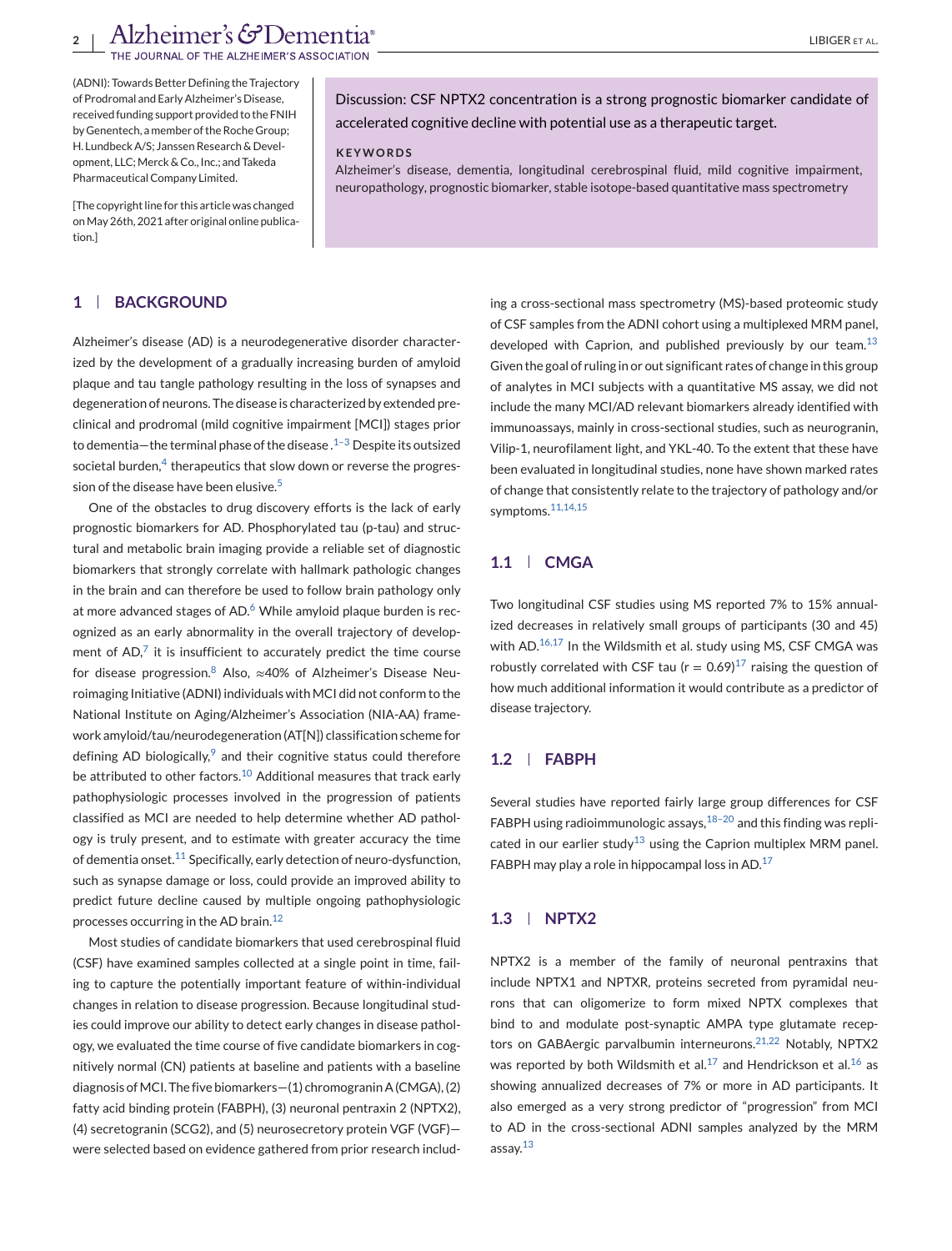(ADNI): Towards Better Defining the Trajectory of Prodromal and Early Alzheimer's Disease, received funding support provided to the FNIH by Genentech, a member of the Roche Group; H. Lundbeck A/S; Janssen Research & Development, LLC; Merck & Co., Inc.; and Takeda Pharmaceutical Company Limited.

Discussion: CSF NPTX2 concentration is a strong prognostic biomarker candidate of accelerated cognitive decline with potential use as a therapeutic target.

#### **KEYWORDS**

Alzheimer's disease, dementia, longitudinal cerebrospinal fluid, mild cognitive impairment, neuropathology, prognostic biomarker, stable isotope-based quantitative mass spectrometry

[The copyright line for this article was changed onMay 26th, 2021 after original online publication.]

## **1 BACKGROUND**

Alzheimer's disease (AD) is a neurodegenerative disorder characterized by the development of a gradually increasing burden of amyloid plaque and tau tangle pathology resulting in the loss of synapses and degeneration of neurons. The disease is characterized by extended preclinical and prodromal (mild cognitive impairment [MCI]) stages prior to dementia—the terminal phase of the disease. $1-3$  Despite its outsized societal burden, $4$  therapeutics that slow down or reverse the progres-sion of the disease have been elusive.<sup>[5](#page-10-0)</sup>

One of the obstacles to drug discovery efforts is the lack of early prognostic biomarkers for AD. Phosphorylated tau (p-tau) and structural and metabolic brain imaging provide a reliable set of diagnostic biomarkers that strongly correlate with hallmark pathologic changes in the brain and can therefore be used to follow brain pathology only at more advanced stages of AD. $6$  While amyloid plaque burden is recognized as an early abnormality in the overall trajectory of development of  $AD$ , $7$  it is insufficient to accurately predict the time course for disease progression.<sup>[8](#page-10-0)</sup> Also,  $\approx$ 40% of Alzheimer's Disease Neuroimaging Initiative (ADNI) individuals with MCI did not conform to the National Institute on Aging/Alzheimer's Association (NIA-AA) framework amyloid/tau/neurodegeneration (AT[N]) classification scheme for defining AD biologically,  $9$  and their cognitive status could therefore be attributed to other factors.<sup>[10](#page-11-0)</sup> Additional measures that track early pathophysiologic processes involved in the progression of patients classified as MCI are needed to help determine whether AD pathology is truly present, and to estimate with greater accuracy the time of dementia onset.<sup>[11](#page-11-0)</sup> Specifically, early detection of neuro-dysfunction, such as synapse damage or loss, could provide an improved ability to predict future decline caused by multiple ongoing pathophysiologic processes occurring in the AD brain.<sup>[12](#page-11-0)</sup>

Most studies of candidate biomarkers that used cerebrospinal fluid (CSF) have examined samples collected at a single point in time, failing to capture the potentially important feature of within-individual changes in relation to disease progression. Because longitudinal studies could improve our ability to detect early changes in disease pathology, we evaluated the time course of five candidate biomarkers in cognitively normal (CN) patients at baseline and patients with a baseline diagnosis of MCI. The five biomarkers-(1) chromogranin A (CMGA), (2) fatty acid binding protein (FABPH), (3) neuronal pentraxin 2 (NPTX2), (4) secretogranin (SCG2), and (5) neurosecretory protein VGF (VGF) were selected based on evidence gathered from prior research includ-

ing a cross-sectional mass spectrometry (MS)-based proteomic study of CSF samples from the ADNI cohort using a multiplexed MRM panel, developed with Caprion, and published previously by our team. $^{13}$  $^{13}$  $^{13}$ Given the goal of ruling in or out significant rates of change in this group of analytes in MCI subjects with a quantitative MS assay, we did not include the many MCI/AD relevant biomarkers already identified with immunoassays, mainly in cross-sectional studies, such as neurogranin, Vilip-1, neurofilament light, and YKL-40. To the extent that these have been evaluated in longitudinal studies, none have shown marked rates of change that consistently relate to the trajectory of pathology and/or symptoms.[11,14,15](#page-11-0)

# **1.1 CMGA**

Two longitudinal CSF studies using MS reported 7% to 15% annualized decreases in relatively small groups of participants (30 and 45) with AD.<sup>[16,17](#page-11-0)</sup> In the Wildsmith et al. study using MS, CSF CMGA was robustly correlated with CSF tau ( $r = 0.69$ )<sup>[17](#page-11-0)</sup> raising the question of how much additional information it would contribute as a predictor of disease trajectory.

#### **1.2 FABPH**

Several studies have reported fairly large group differences for CSF FABPH using radioimmunologic assays,  $18-20$  and this finding was replicated in our earlier study<sup>13</sup> using the Caprion multiplex MRM panel. FABPH may play a role in hippocampal loss in AD. $17$ 

#### **1.3 NPTX2**

NPTX2 is a member of the family of neuronal pentraxins that include NPTX1 and NPTXR, proteins secreted from pyramidal neurons that can oligomerize to form mixed NPTX complexes that bind to and modulate post-synaptic AMPA type glutamate recep-tors on GABAergic parvalbumin interneurons.<sup>[21,22](#page-11-0)</sup> Notably, NPTX2 was reported by both Wildsmith et al.<sup>[17](#page-11-0)</sup> and Hendrickson et al.<sup>[16](#page-11-0)</sup> as showing annualized decreases of 7% or more in AD participants. It also emerged as a very strong predictor of "progression" from MCI to AD in the cross-sectional ADNI samples analyzed by the MRM assay.[13](#page-11-0)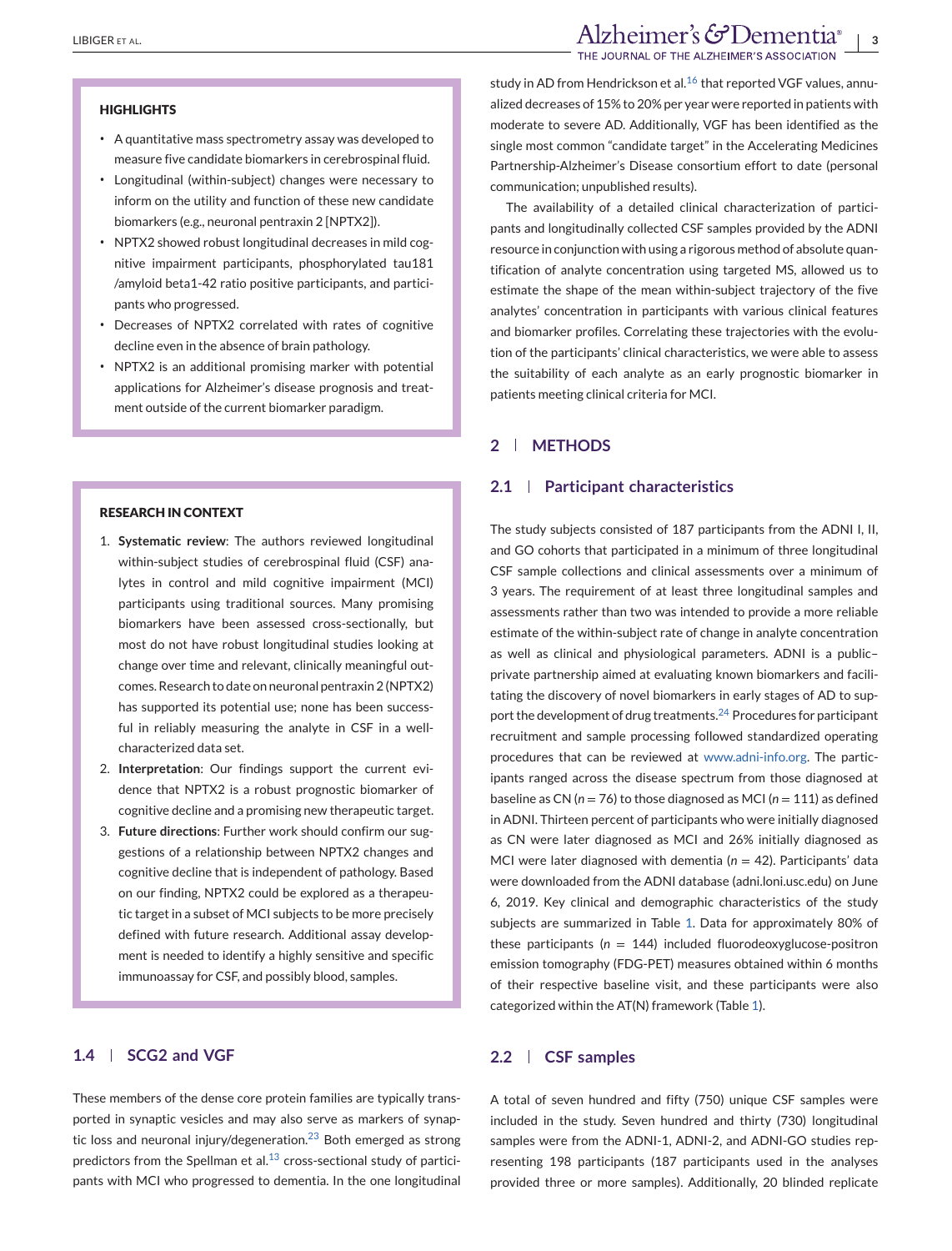#### **HIGHLIGHTS**

- ∙ A quantitative mass spectrometry assay was developed to measure five candidate biomarkers in cerebrospinal fluid.
- ∙ Longitudinal (within-subject) changes were necessary to inform on the utility and function of these new candidate biomarkers (e.g., neuronal pentraxin 2 [NPTX2]).
- ∙ NPTX2 showed robust longitudinal decreases in mild cognitive impairment participants, phosphorylated tau181 /amyloid beta1-42 ratio positive participants, and participants who progressed.
- ∙ Decreases of NPTX2 correlated with rates of cognitive decline even in the absence of brain pathology.
- ∙ NPTX2 is an additional promising marker with potential applications for Alzheimer's disease prognosis and treatment outside of the current biomarker paradigm.

## **RESEARCH IN CONTEXT**

- 1. **Systematic review**: The authors reviewed longitudinal within-subject studies of cerebrospinal fluid (CSF) analytes in control and mild cognitive impairment (MCI) participants using traditional sources. Many promising biomarkers have been assessed cross-sectionally, but most do not have robust longitudinal studies looking at change over time and relevant, clinically meaningful outcomes. Research to date on neuronal pentraxin 2 (NPTX2) has supported its potential use; none has been successful in reliably measuring the analyte in CSF in a wellcharacterized data set.
- 2. **Interpretation**: Our findings support the current evidence that NPTX2 is a robust prognostic biomarker of cognitive decline and a promising new therapeutic target.
- 3. **Future directions**: Further work should confirm our suggestions of a relationship between NPTX2 changes and cognitive decline that is independent of pathology. Based on our finding, NPTX2 could be explored as a therapeutic target in a subset of MCI subjects to be more precisely defined with future research. Additional assay development is needed to identify a highly sensitive and specific immunoassay for CSF, and possibly blood, samples.

## **1.4 SCG2 and VGF**

These members of the dense core protein families are typically transported in synaptic vesicles and may also serve as markers of synap-tic loss and neuronal injury/degeneration.<sup>[23](#page-11-0)</sup> Both emerged as strong predictors from the Spellman et al. $^{13}$  $^{13}$  $^{13}$  cross-sectional study of participants with MCI who progressed to dementia. In the one longitudinal study in AD from Hendrickson et al. $^{16}$  $^{16}$  $^{16}$  that reported VGF values, annualized decreases of 15% to 20% per year were reported in patients with moderate to severe AD. Additionally, VGF has been identified as the single most common "candidate target" in the Accelerating Medicines Partnership-Alzheimer's Disease consortium effort to date (personal communication; unpublished results).

The availability of a detailed clinical characterization of participants and longitudinally collected CSF samples provided by the ADNI resource in conjunction with using a rigorous method of absolute quantification of analyte concentration using targeted MS, allowed us to estimate the shape of the mean within-subject trajectory of the five analytes' concentration in participants with various clinical features and biomarker profiles. Correlating these trajectories with the evolution of the participants' clinical characteristics, we were able to assess the suitability of each analyte as an early prognostic biomarker in patients meeting clinical criteria for MCI.

## **2 METHODS**

## **2.1 Participant characteristics**

The study subjects consisted of 187 participants from the ADNI I, II, and GO cohorts that participated in a minimum of three longitudinal CSF sample collections and clinical assessments over a minimum of 3 years. The requirement of at least three longitudinal samples and assessments rather than two was intended to provide a more reliable estimate of the within-subject rate of change in analyte concentration as well as clinical and physiological parameters. ADNI is a public– private partnership aimed at evaluating known biomarkers and facilitating the discovery of novel biomarkers in early stages of AD to support the development of drug treatments.[24](#page-11-0) Procedures for participant recruitment and sample processing followed standardized operating procedures that can be reviewed at [www.adni-info.org.](http://www.adni-info.org) The participants ranged across the disease spectrum from those diagnosed at baseline as CN (*n* = 76) to those diagnosed as MCI (*n* = 111) as defined in ADNI. Thirteen percent of participants who were initially diagnosed as CN were later diagnosed as MCI and 26% initially diagnosed as MCI were later diagnosed with dementia  $(n = 42)$ . Participants' data were downloaded from the ADNI database (adni.loni.usc.edu) on June 6, 2019. Key clinical and demographic characteristics of the study subjects are summarized in Table [1.](#page-3-0) Data for approximately 80% of these participants ( $n = 144$ ) included fluorodeoxyglucose-positron emission tomography (FDG-PET) measures obtained within 6 months of their respective baseline visit, and these participants were also categorized within the AT(N) framework (Table [1\)](#page-3-0).

# **2.2 CSF samples**

A total of seven hundred and fifty (750) unique CSF samples were included in the study. Seven hundred and thirty (730) longitudinal samples were from the ADNI-1, ADNI-2, and ADNI-GO studies representing 198 participants (187 participants used in the analyses provided three or more samples). Additionally, 20 blinded replicate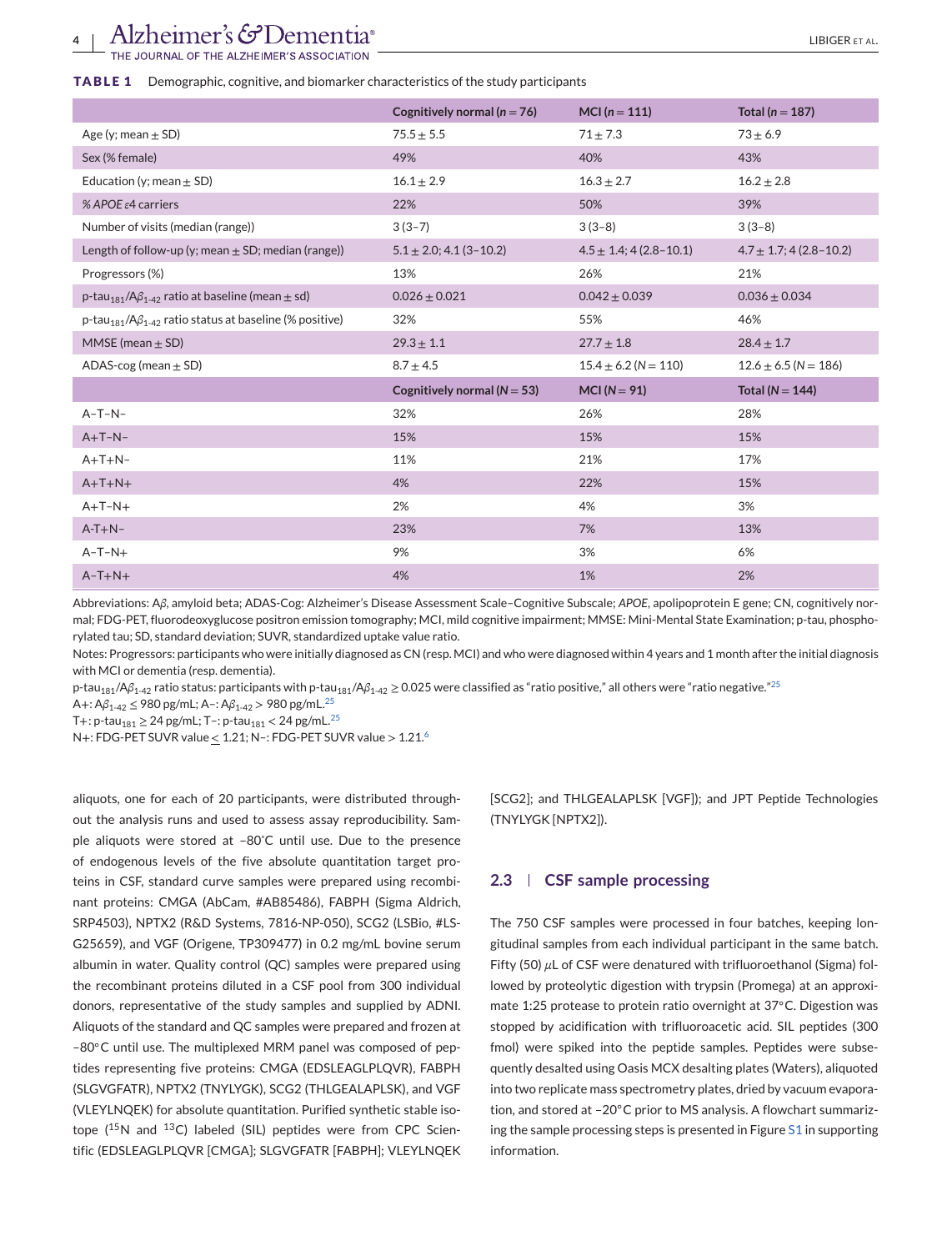#### <span id="page-3-0"></span>**TABLE 1** Demographic, cognitive, and biomarker characteristics of the study participants

|                                                                                          | Cognitively normal ( $n = 76$ ) | MCI ( $n = 111$ )                                            | Total ( $n = 187$ )      |  |
|------------------------------------------------------------------------------------------|---------------------------------|--------------------------------------------------------------|--------------------------|--|
| Age (y; mean $\pm$ SD)                                                                   | $75.5 \pm 5.5$                  | $71 \pm 7.3$                                                 | $73 + 6.9$               |  |
| Sex (% female)                                                                           | 49%                             | 40%                                                          | 43%                      |  |
| Education (y; mean $\pm$ SD)                                                             | $16.1 \pm 2.9$                  | $16.3 \pm 2.7$                                               | $16.2 \pm 2.8$           |  |
| % APOE $\varepsilon$ 4 carriers                                                          | 22%                             | 50%                                                          | 39%                      |  |
| Number of visits (median (range))                                                        | $3(3-7)$                        | $3(3-8)$                                                     | $3(3-8)$                 |  |
| Length of follow-up (y; mean $\pm$ SD; median (range))                                   | $5.1 \pm 2.0$ ; 4.1 (3-10.2)    | $4.7 \pm 1.7$ ; 4 (2.8-10.2)<br>$4.5 \pm 1.4$ ; 4 (2.8-10.1) |                          |  |
| Progressors (%)                                                                          | 13%                             | 26%                                                          | 21%                      |  |
| p-tau <sub>181</sub> /A $\beta_{1-42}$ ratio at baseline (mean $\pm$ sd)                 | $0.026 \pm 0.021$               | $0.042 \pm 0.039$                                            | $0.036 \pm 0.034$        |  |
| $p$ -tau <sub>181</sub> /A $\beta$ <sub>1-42</sub> ratio status at baseline (% positive) | 32%                             | 55%                                                          | 46%                      |  |
| MMSE (mean $\pm$ SD)                                                                     | $29.3 \pm 1.1$                  | $27.7 \pm 1.8$                                               | $28.4 \pm 1.7$           |  |
| ADAS-cog (mean $\pm$ SD)                                                                 | $8.7 \pm 4.5$                   | $15.4 \pm 6.2$ (N = 110)                                     | $12.6 \pm 6.5$ (N = 186) |  |
|                                                                                          | Cognitively normal ( $N = 53$ ) | MCI $(N = 91)$                                               | Total ( $N = 144$ )      |  |
| $A-T-N-$                                                                                 | 32%                             | 26%                                                          | 28%                      |  |
| $A+T-N-$                                                                                 | 15%                             | 15%                                                          | 15%                      |  |
| $A+T+N-$                                                                                 | 11%                             | 21%                                                          | 17%                      |  |
| $A+T+N+$                                                                                 | 4%                              | 22%                                                          | 15%                      |  |
| $A+T-N+$                                                                                 | 2%                              | 4%                                                           | 3%                       |  |
| $A-T+N-$                                                                                 | 23%                             | 7%                                                           | 13%                      |  |
| $A-T-N+$                                                                                 | 9%                              | 3%                                                           | 6%                       |  |
| $A-T+N+$                                                                                 | 4%                              | 1%                                                           | 2%                       |  |

Abbreviations: A*β*, amyloid beta; ADAS-Cog: Alzheimer's Disease Assessment Scale–Cognitive Subscale; *APOE*, apolipoprotein E gene; CN, cognitively normal; FDG-PET, fluorodeoxyglucose positron emission tomography; MCI, mild cognitive impairment; MMSE: Mini-Mental State Examination; p-tau, phosphorylated tau; SD, standard deviation; SUVR, standardized uptake value ratio.

Notes: Progressors: participants who were initially diagnosed as CN (resp. MCI) and who were diagnosed within 4 years and 1 month after the initial diagnosis with MCI or dementia (resp. dementia).

p-tau<sub>181</sub>/Aβ<sub>1-42</sub> ratio status: participants with p-tau<sub>181</sub>/Aβ<sub>1-42</sub> ≥ 0.0[25](#page-11-0) were classified as "ratio positive," all others were "ratio negative."<sup>25</sup>

A+: Aβ<sub>1-42</sub> ≤ 980 pg/mL; A-: Aβ<sub>1-42</sub> > 980 pg/mL.<sup>25</sup>

T+: p-tau<sub>181</sub>  $\geq$  24 pg/mL; T-: p-tau<sub>181</sub> < 24 pg/mL.<sup>25</sup>

N+: FDG-PET SUVR value < 1.21; N–: FDG-PET SUVR value > 1.21.[6](#page-10-0)

aliquots, one for each of 20 participants, were distributed throughout the analysis runs and used to assess assay reproducibility. Sample aliquots were stored at –80˚C until use. Due to the presence of endogenous levels of the five absolute quantitation target proteins in CSF, standard curve samples were prepared using recombinant proteins: CMGA (AbCam, #AB85486), FABPH (Sigma Aldrich, SRP4503), NPTX2 (R&D Systems, 7816-NP-050), SCG2 (LSBio, #LS-G25659), and VGF (Origene, TP309477) in 0.2 mg/mL bovine serum albumin in water. Quality control (QC) samples were prepared using the recombinant proteins diluted in a CSF pool from 300 individual donors, representative of the study samples and supplied by ADNI. Aliquots of the standard and QC samples were prepared and frozen at –80◦C until use. The multiplexed MRM panel was composed of peptides representing five proteins: CMGA (EDSLEAGLPLQVR), FABPH (SLGVGFATR), NPTX2 (TNYLYGK), SCG2 (THLGEALAPLSK), and VGF (VLEYLNQEK) for absolute quantitation. Purified synthetic stable isotope  $(^{15}N$  and  $^{13}C$ ) labeled (SIL) peptides were from CPC Scientific (EDSLEAGLPLQVR [CMGA]; SLGVGFATR [FABPH]; VLEYLNQEK [SCG2]; and THLGEALAPLSK [VGF]); and JPT Peptide Technologies (TNYLYGK [NPTX2]).

## **2.3 CSF sample processing**

The 750 CSF samples were processed in four batches, keeping longitudinal samples from each individual participant in the same batch. Fifty (50) *μ*L of CSF were denatured with trifluoroethanol (Sigma) followed by proteolytic digestion with trypsin (Promega) at an approximate 1:25 protease to protein ratio overnight at 37◦C. Digestion was stopped by acidification with trifluoroacetic acid. SIL peptides (300 fmol) were spiked into the peptide samples. Peptides were subsequently desalted using Oasis MCX desalting plates (Waters), aliquoted into two replicate mass spectrometry plates, dried by vacuum evaporation, and stored at –20◦C prior to MS analysis. A flowchart summarizing the sample processing steps is presented in Figure S1 in supporting information.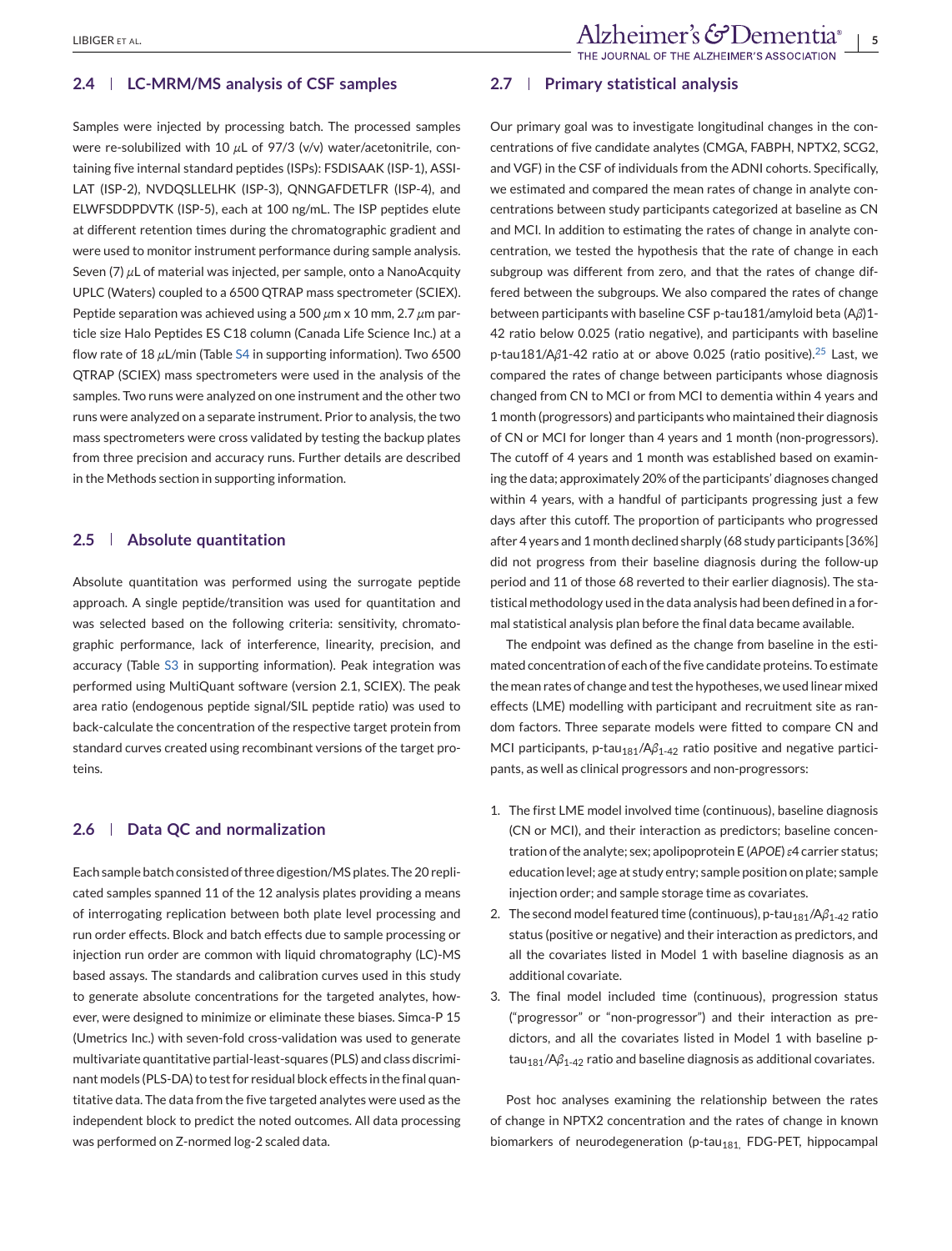### **2.4 LC-MRM/MS analysis of CSF samples**

Samples were injected by processing batch. The processed samples were re-solubilized with 10 *μ*L of 97/3 (v/v) water/acetonitrile, containing five internal standard peptides (ISPs): FSDISAAK (ISP-1), ASSI-LAT (ISP-2), NVDQSLLELHK (ISP-3), QNNGAFDETLFR (ISP-4), and ELWFSDDPDVTK (ISP-5), each at 100 ng/mL. The ISP peptides elute at different retention times during the chromatographic gradient and were used to monitor instrument performance during sample analysis. Seven (7) *μ*L of material was injected, per sample, onto a NanoAcquity UPLC (Waters) coupled to a 6500 QTRAP mass spectrometer (SCIEX). Peptide separation was achieved using a 500 *μ*m x 10 mm, 2.7 *μ*m particle size Halo Peptides ES C18 column (Canada Life Science Inc.) at a flow rate of 18 *μ*L/min (Table S4 in supporting information). Two 6500 QTRAP (SCIEX) mass spectrometers were used in the analysis of the samples. Two runs were analyzed on one instrument and the other two runs were analyzed on a separate instrument. Prior to analysis, the two mass spectrometers were cross validated by testing the backup plates from three precision and accuracy runs. Further details are described in the Methods section in supporting information.

## **2.5 Absolute quantitation**

Absolute quantitation was performed using the surrogate peptide approach. A single peptide/transition was used for quantitation and was selected based on the following criteria: sensitivity, chromatographic performance, lack of interference, linearity, precision, and accuracy (Table S3 in supporting information). Peak integration was performed using MultiQuant software (version 2.1, SCIEX). The peak area ratio (endogenous peptide signal/SIL peptide ratio) was used to back-calculate the concentration of the respective target protein from standard curves created using recombinant versions of the target proteins.

## **2.6 Data QC and normalization**

Each sample batch consisted of three digestion/MS plates. The 20 replicated samples spanned 11 of the 12 analysis plates providing a means of interrogating replication between both plate level processing and run order effects. Block and batch effects due to sample processing or injection run order are common with liquid chromatography (LC)-MS based assays. The standards and calibration curves used in this study to generate absolute concentrations for the targeted analytes, however, were designed to minimize or eliminate these biases. Simca-P 15 (Umetrics Inc.) with seven-fold cross-validation was used to generate multivariate quantitative partial-least-squares (PLS) and class discriminant models (PLS-DA) to test for residual block effects in the final quantitative data. The data from the five targeted analytes were used as the independent block to predict the noted outcomes. All data processing was performed on Z-normed log-2 scaled data.

## **2.7 Primary statistical analysis**

Our primary goal was to investigate longitudinal changes in the concentrations of five candidate analytes (CMGA, FABPH, NPTX2, SCG2, and VGF) in the CSF of individuals from the ADNI cohorts. Specifically, we estimated and compared the mean rates of change in analyte concentrations between study participants categorized at baseline as CN and MCI. In addition to estimating the rates of change in analyte concentration, we tested the hypothesis that the rate of change in each subgroup was different from zero, and that the rates of change differed between the subgroups. We also compared the rates of change between participants with baseline CSF p-tau181/amyloid beta (A*β*)1- 42 ratio below 0.025 (ratio negative), and participants with baseline p-tau181/Aβ1-42 ratio at or above 0.0[25](#page-11-0) (ratio positive).<sup>25</sup> Last, we compared the rates of change between participants whose diagnosis changed from CN to MCI or from MCI to dementia within 4 years and 1 month (progressors) and participants who maintained their diagnosis of CN or MCI for longer than 4 years and 1 month (non-progressors). The cutoff of 4 years and 1 month was established based on examining the data; approximately 20% of the participants' diagnoses changed within 4 years, with a handful of participants progressing just a few days after this cutoff. The proportion of participants who progressed after 4 years and 1 month declined sharply (68 study participants [36%] did not progress from their baseline diagnosis during the follow-up period and 11 of those 68 reverted to their earlier diagnosis). The statistical methodology used in the data analysis had been defined in a formal statistical analysis plan before the final data became available.

The endpoint was defined as the change from baseline in the estimated concentration of each of the five candidate proteins. To estimate the mean rates of change and test the hypotheses, we used linear mixed effects (LME) modelling with participant and recruitment site as random factors. Three separate models were fitted to compare CN and MCI participants, p-tau<sub>181</sub>/Aβ<sub>1-42</sub> ratio positive and negative participants, as well as clinical progressors and non-progressors:

- 1. The first LME model involved time (continuous), baseline diagnosis (CN or MCI), and their interaction as predictors; baseline concentration of the analyte; sex; apolipoprotein E (*APOE*)*ε*4 carrier status; education level; age at study entry; sample position on plate; sample injection order; and sample storage time as covariates.
- 2. The second model featured time (continuous), p-tau<sub>181</sub>/Aβ<sub>1-42</sub> ratio status (positive or negative) and their interaction as predictors, and all the covariates listed in Model 1 with baseline diagnosis as an additional covariate.
- 3. The final model included time (continuous), progression status ("progressor" or "non-progressor") and their interaction as predictors, and all the covariates listed in Model 1 with baseline ptau<sub>181</sub>/Aβ<sub>1-42</sub> ratio and baseline diagnosis as additional covariates.

Post hoc analyses examining the relationship between the rates of change in NPTX2 concentration and the rates of change in known biomarkers of neurodegeneration (p-tau $_{181}$ , FDG-PET, hippocampal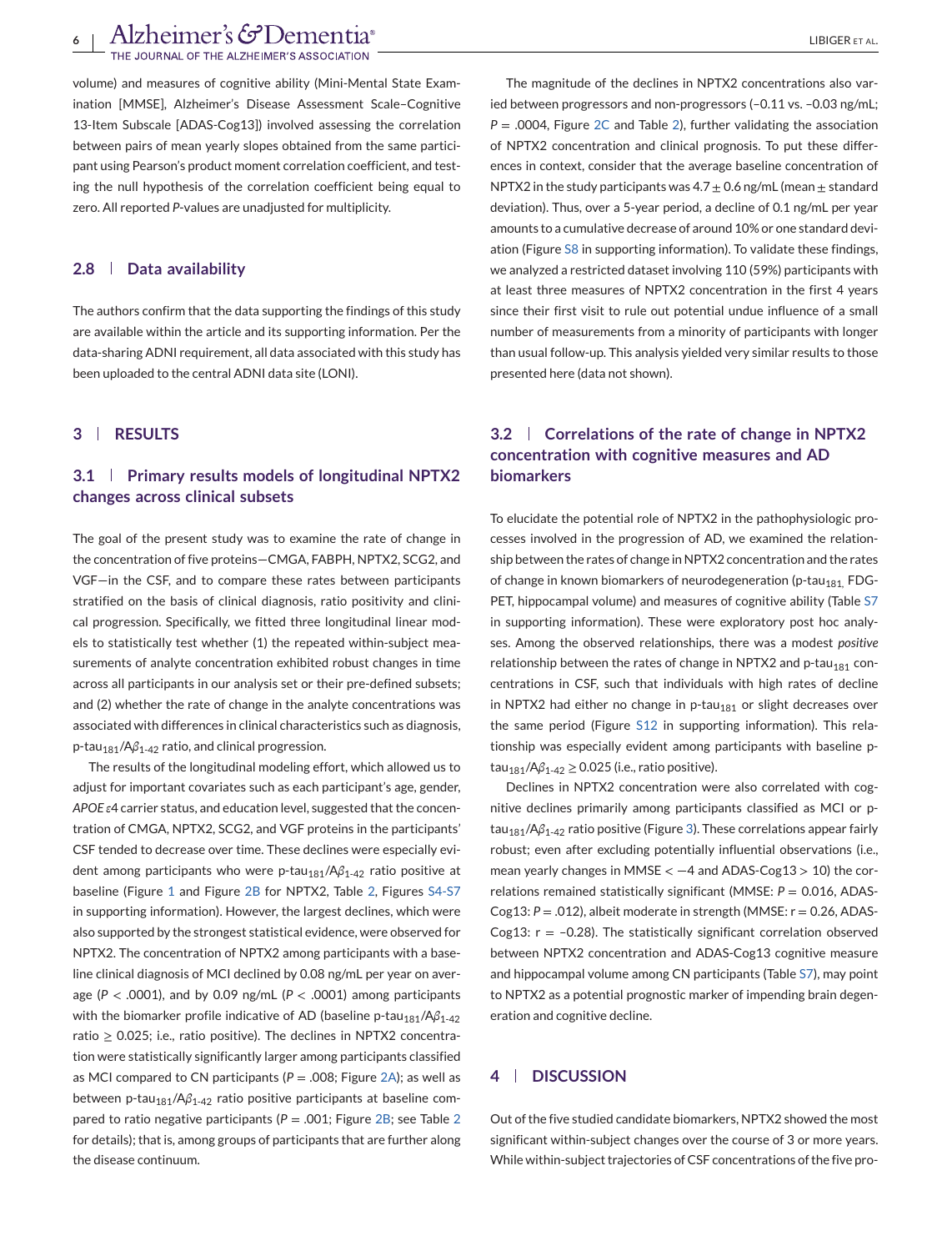Alzheimer's GDementia®<br>Fithe Journal of the alzheimer's association

volume) and measures of cognitive ability (Mini-Mental State Examination [MMSE], Alzheimer's Disease Assessment Scale–Cognitive 13-Item Subscale [ADAS-Cog13]) involved assessing the correlation between pairs of mean yearly slopes obtained from the same participant using Pearson's product moment correlation coefficient, and testing the null hypothesis of the correlation coefficient being equal to zero. All reported *P*-values are unadjusted for multiplicity.

## **2.8 Data availability**

The authors confirm that the data supporting the findings of this study are available within the article and its supporting information. Per the data-sharing ADNI requirement, all data associated with this study has been uploaded to the central ADNI data site (LONI).

## **3 RESULTS**

# **3.1 Primary results models of longitudinal NPTX2 changes across clinical subsets**

The goal of the present study was to examine the rate of change in the concentration of five proteins—CMGA, FABPH, NPTX2, SCG2, and VGF—in the CSF, and to compare these rates between participants stratified on the basis of clinical diagnosis, ratio positivity and clinical progression. Specifically, we fitted three longitudinal linear models to statistically test whether (1) the repeated within-subject measurements of analyte concentration exhibited robust changes in time across all participants in our analysis set or their pre-defined subsets; and (2) whether the rate of change in the analyte concentrations was associated with differences in clinical characteristics such as diagnosis, p-tau<sub>181</sub>/Aβ<sub>1-42</sub> ratio, and clinical progression.

The results of the longitudinal modeling effort, which allowed us to adjust for important covariates such as each participant's age, gender, *APOE ε*4 carrier status, and education level, suggested that the concentration of CMGA, NPTX2, SCG2, and VGF proteins in the participants' CSF tended to decrease over time. These declines were especially evident among participants who were p-tau<sub>181</sub>/Aβ<sub>1-42</sub> ratio positive at baseline (Figure [1](#page-6-0) and Figure [2B](#page-7-0) for NPTX2, Table [2,](#page-8-0) Figures S4-S7 in supporting information). However, the largest declines, which were also supported by the strongest statistical evidence, were observed for NPTX2. The concentration of NPTX2 among participants with a baseline clinical diagnosis of MCI declined by 0.08 ng/mL per year on average (*P* < .0001), and by 0.09 ng/mL (*P* < .0001) among participants with the biomarker profile indicative of AD (baseline p-tau<sub>181</sub>/Aβ<sub>1-42</sub> ratio  $\geq$  0.025; i.e., ratio positive). The declines in NPTX2 concentration were statistically significantly larger among participants classified as MCI compared to CN participants (*P* = .008; Figure [2A\)](#page-7-0); as well as between p-tau<sub>181</sub>/Aβ<sub>1-42</sub> ratio positive participants at baseline compared to ratio negative participants (*P* = .001; Figure [2B;](#page-7-0) see Table [2](#page-8-0) for details); that is, among groups of participants that are further along the disease continuum.

The magnitude of the declines in NPTX2 concentrations also varied between progressors and non-progressors (–0.11 vs. –0.03 ng/mL;  $P = 0.0004$ , Figure [2C](#page-7-0) and Table [2\)](#page-8-0), further validating the association of NPTX2 concentration and clinical prognosis. To put these differences in context, consider that the average baseline concentration of NPTX2 in the study participants was  $4.7 \pm 0.6$  ng/mL (mean  $\pm$  standard deviation). Thus, over a 5-year period, a decline of 0.1 ng/mL per year amounts to a cumulative decrease of around 10% or one standard deviation (Figure S8 in supporting information). To validate these findings, we analyzed a restricted dataset involving 110 (59%) participants with at least three measures of NPTX2 concentration in the first 4 years since their first visit to rule out potential undue influence of a small number of measurements from a minority of participants with longer than usual follow-up. This analysis yielded very similar results to those presented here (data not shown).

# **3.2 Correlations of the rate of change in NPTX2 concentration with cognitive measures and AD biomarkers**

To elucidate the potential role of NPTX2 in the pathophysiologic processes involved in the progression of AD, we examined the relationship between the rates of change in NPTX2 concentration and the rates of change in known biomarkers of neurodegeneration (p-tau<sub>181</sub>, FDG-PET, hippocampal volume) and measures of cognitive ability (Table S7 in supporting information). These were exploratory post hoc analyses. Among the observed relationships, there was a modest *positive* relationship between the rates of change in NPTX2 and p-tau<sub>181</sub> concentrations in CSF, such that individuals with high rates of decline in NPTX2 had either no change in p-tau<sub>181</sub> or slight decreases over the same period (Figure S12 in supporting information). This relationship was especially evident among participants with baseline ptau<sub>181</sub>/Aβ<sub>1-42</sub> ≥ 0.025 (i.e., ratio positive).

Declines in NPTX2 concentration were also correlated with cognitive declines primarily among participants classified as MCI or p-tau<sub>181</sub>/Aβ<sub>1-42</sub> ratio positive (Figure [3\)](#page-9-0). These correlations appear fairly robust; even after excluding potentially influential observations (i.e., mean yearly changes in MMSE  $<-4$  and ADAS-Cog13  $>10$ ) the correlations remained statistically significant (MMSE: *P* = 0.016, ADAS-Cog13: *P* = .012), albeit moderate in strength (MMSE: r = 0.26, ADAS-Cog13:  $r = -0.28$ ). The statistically significant correlation observed between NPTX2 concentration and ADAS-Cog13 cognitive measure and hippocampal volume among CN participants (Table S7), may point to NPTX2 as a potential prognostic marker of impending brain degeneration and cognitive decline.

## **4 DISCUSSION**

Out of the five studied candidate biomarkers, NPTX2 showed the most significant within-subject changes over the course of 3 or more years. While within-subject trajectories of CSF concentrations of the five pro-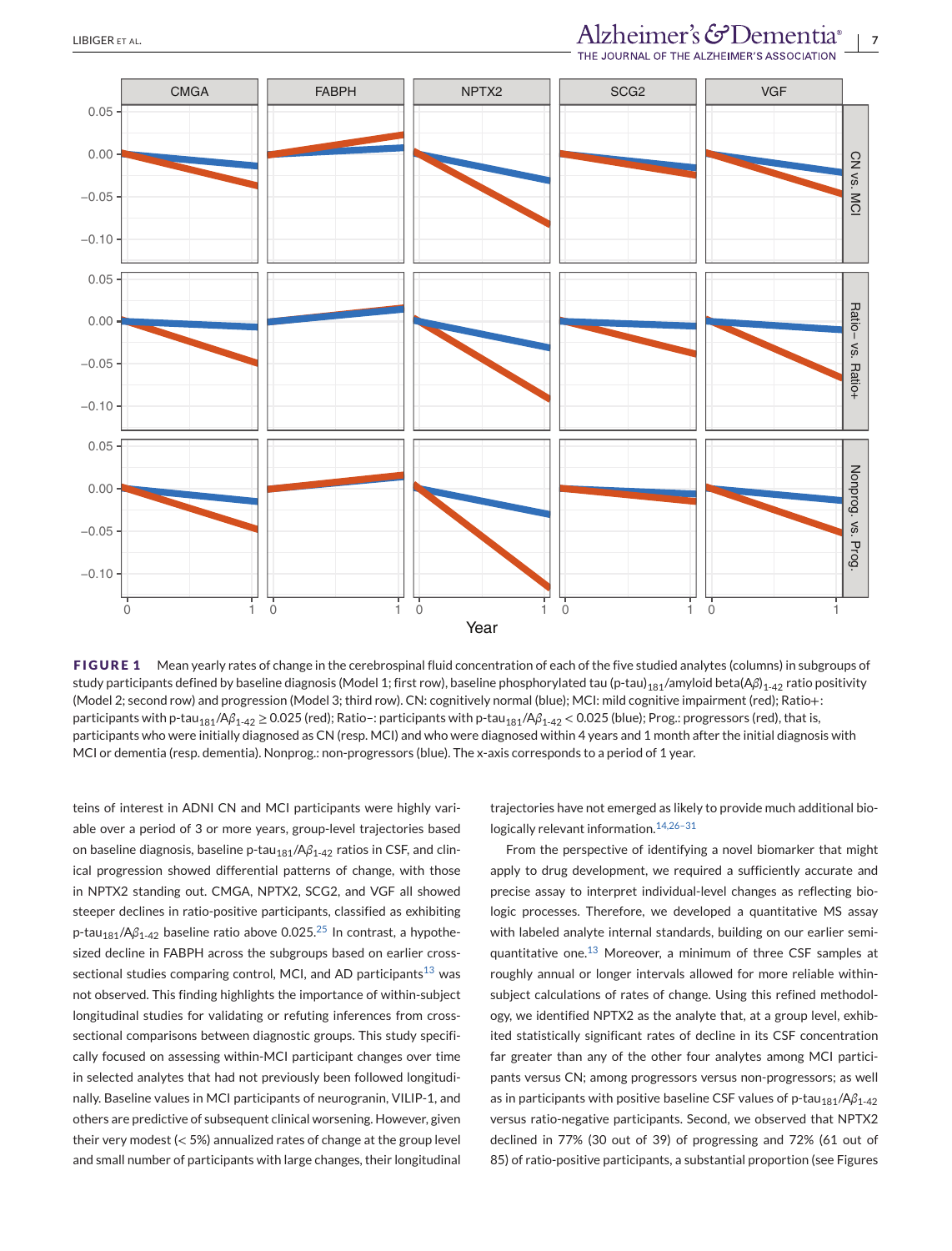# <span id="page-6-0"></span>LIBIGER ET AL.<br>THE JOURNAL OF THE ALZHEIMER'S ASSOCIATION



FIGURE 1 Mean yearly rates of change in the cerebrospinal fluid concentration of each of the five studied analytes (columns) in subgroups of study participants defined by baseline diagnosis (Model 1; first row), baseline phosphorylated tau (p-tau)<sub>181</sub>/amyloid beta(Aβ)<sub>1-42</sub> ratio positivity (Model 2; second row) and progression (Model 3; third row). CN: cognitively normal (blue); MCI: mild cognitive impairment (red); Ratio+: participants with p-tau<sub>181</sub>/Aβ<sub>1-42</sub> ≥ 0.025 (red); Ratio-: participants with p-tau<sub>181</sub>/Aβ<sub>1-42</sub> < 0.025 (blue); Prog.: progressors (red), that is, participants who were initially diagnosed as CN (resp. MCI) and who were diagnosed within 4 years and 1 month after the initial diagnosis with MCI or dementia (resp. dementia). Nonprog.: non-progressors (blue). The x-axis corresponds to a period of 1 year.

teins of interest in ADNI CN and MCI participants were highly variable over a period of 3 or more years, group-level trajectories based on baseline diagnosis, baseline p-tau<sub>181</sub>/Aβ<sub>1-42</sub> ratios in CSF, and clinical progression showed differential patterns of change, with those in NPTX2 standing out. CMGA, NPTX2, SCG2, and VGF all showed steeper declines in ratio-positive participants, classified as exhibiting p-tau<sub>181</sub>/Aβ<sub>1-42</sub> baseline ratio above 0.0[25](#page-11-0).<sup>25</sup> In contrast, a hypothesized decline in FABPH across the subgroups based on earlier cross-sectional studies comparing control, MCI, and AD participants<sup>[13](#page-11-0)</sup> was not observed. This finding highlights the importance of within-subject longitudinal studies for validating or refuting inferences from crosssectional comparisons between diagnostic groups. This study specifically focused on assessing within-MCI participant changes over time in selected analytes that had not previously been followed longitudinally. Baseline values in MCI participants of neurogranin, VILIP-1, and others are predictive of subsequent clinical worsening. However, given their very modest (< 5%) annualized rates of change at the group level and small number of participants with large changes, their longitudinal

trajectories have not emerged as likely to provide much additional biologically relevant information.<sup>14,26-31</sup>

From the perspective of identifying a novel biomarker that might apply to drug development, we required a sufficiently accurate and precise assay to interpret individual-level changes as reflecting biologic processes. Therefore, we developed a quantitative MS assay with labeled analyte internal standards, building on our earlier semiquantitative one. $^{13}$  $^{13}$  $^{13}$  Moreover, a minimum of three CSF samples at roughly annual or longer intervals allowed for more reliable withinsubject calculations of rates of change. Using this refined methodology, we identified NPTX2 as the analyte that, at a group level, exhibited statistically significant rates of decline in its CSF concentration far greater than any of the other four analytes among MCI participants versus CN; among progressors versus non-progressors; as well as in participants with positive baseline CSF values of p-tau<sub>181</sub>/Aβ<sub>1-42</sub> versus ratio-negative participants. Second, we observed that NPTX2 declined in 77% (30 out of 39) of progressing and 72% (61 out of 85) of ratio-positive participants, a substantial proportion (see Figures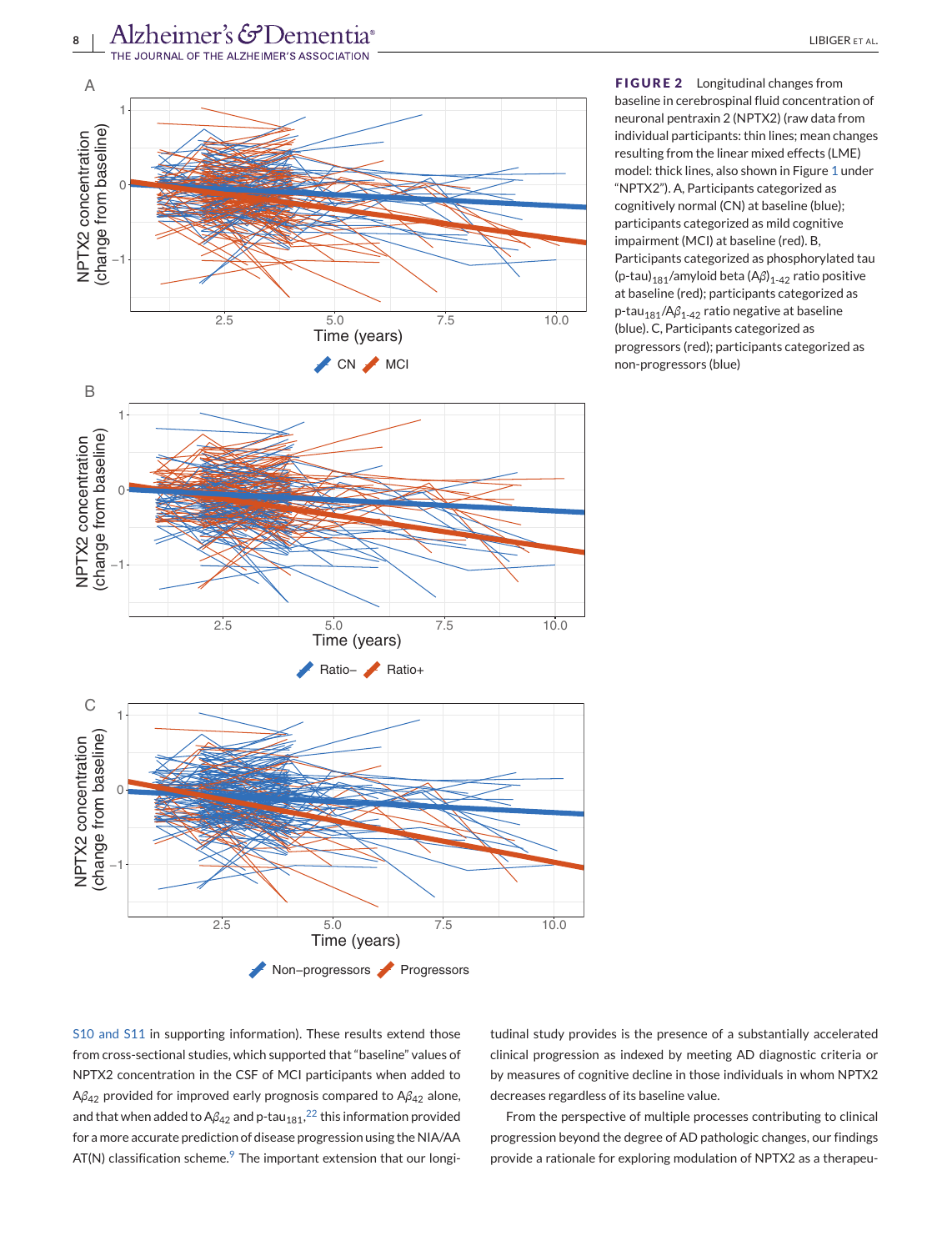<span id="page-7-0"></span>



**FIGURE 2** Longitudinal changes from baseline in cerebrospinal fluid concentration of neuronal pentraxin 2 (NPTX2) (raw data from individual participants: thin lines; mean changes resulting from the linear mixed effects (LME) model: thick lines, also shown in Figure [1](#page-6-0) under "NPTX2"). A, Participants categorized as cognitively normal (CN) at baseline (blue); participants categorized as mild cognitive impairment (MCI) at baseline (red). B, Participants categorized as phosphorylated tau (p-tau)<sub>181</sub>/amyloid beta (Aβ)<sub>1-42</sub> ratio positive at baseline (red); participants categorized as p-tau<sub>181</sub>/Aβ<sub>1-42</sub> ratio negative at baseline (blue). C, Participants categorized as progressors (red); participants categorized as non-progressors (blue)



S10 and S11 in supporting information). These results extend those from cross-sectional studies, which supported that "baseline" values of NPTX2 concentration in the CSF of MCI participants when added to A*β*<sup>42</sup> provided for improved early prognosis compared to A*β*<sup>42</sup> alone, and that when added to A $\beta_{42}$  and p-tau $_{181}$ , $^{22}$  $^{22}$  $^{22}$  this information provided for a more accurate prediction of disease progression using the NIA/AA  $AT(N)$  classification scheme.<sup>[9](#page-10-0)</sup> The important extension that our longi-

tudinal study provides is the presence of a substantially accelerated clinical progression as indexed by meeting AD diagnostic criteria or by measures of cognitive decline in those individuals in whom NPTX2 decreases regardless of its baseline value.

From the perspective of multiple processes contributing to clinical progression beyond the degree of AD pathologic changes, our findings provide a rationale for exploring modulation of NPTX2 as a therapeu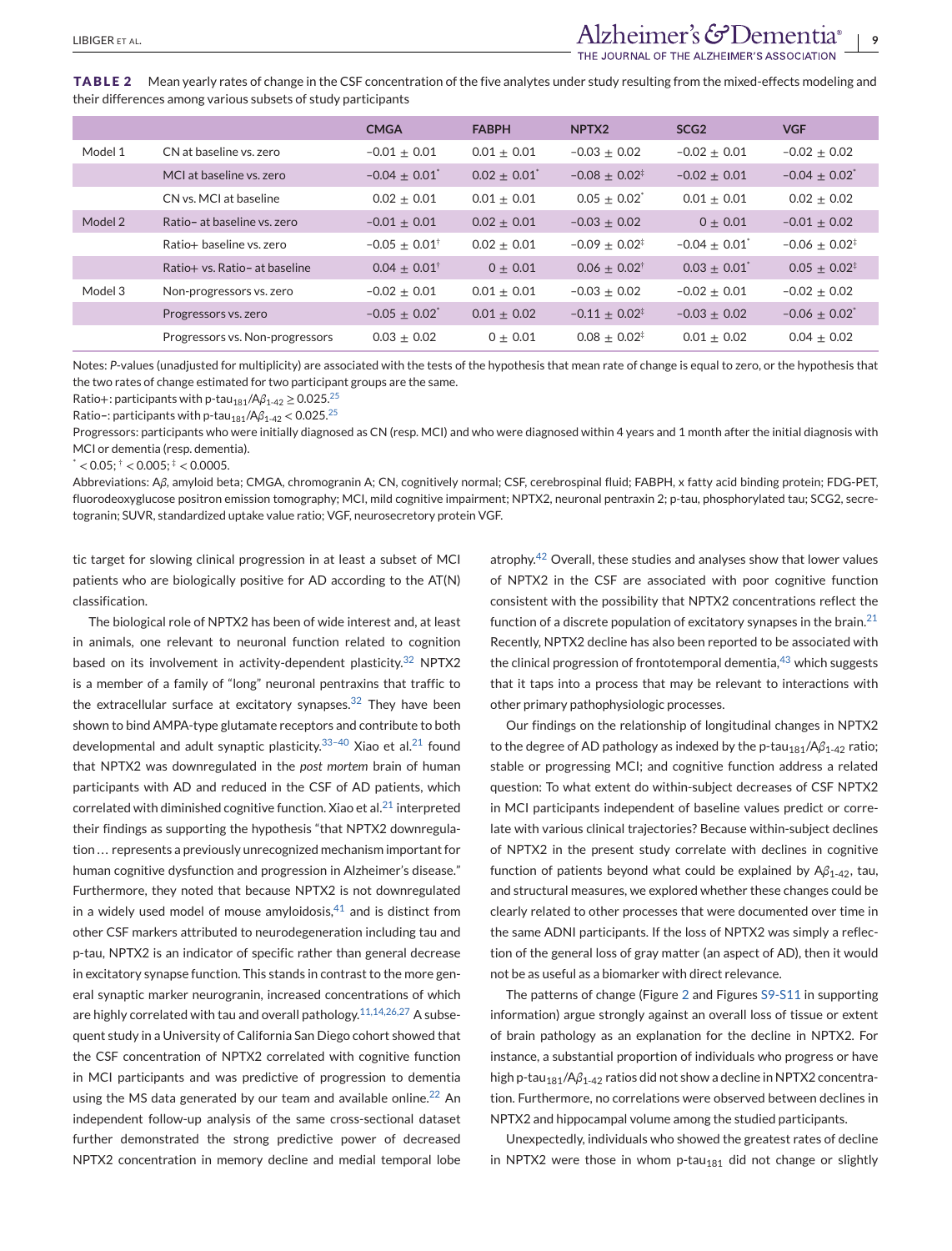<span id="page-8-0"></span>**TABLE 2** Mean yearly rates of change in the CSF concentration of the five analytes under study resulting from the mixed-effects modeling and their differences among various subsets of study participants

|         |                                 | <b>CMGA</b>                 | <b>FABPH</b>               | NPTX <sub>2</sub>           | SCG <sub>2</sub>            | <b>VGF</b>                  |
|---------|---------------------------------|-----------------------------|----------------------------|-----------------------------|-----------------------------|-----------------------------|
| Model 1 | CN at baseline vs. zero         | $-0.01 + 0.01$              | $0.01 \pm 0.01$            | $-0.03 + 0.02$              | $-0.02 + 0.01$              | $-0.02 \pm 0.02$            |
|         | MCI at baseline vs. zero        | $-0.04 + 0.01$ <sup>*</sup> | $0.02 + 0.01$ <sup>*</sup> | $-0.08 \pm 0.02^{\ddagger}$ | $-0.02 + 0.01$              | $-0.04 + 0.02$ <sup>*</sup> |
|         | CN vs. MCI at baseline          | $0.02 + 0.01$               | $0.01 + 0.01$              | $0.05 + 0.02^*$             | $0.01 + 0.01$               | $0.02 + 0.02$               |
| Model 2 | Ratio- at baseline vs. zero     | $-0.01 \pm 0.01$            | $0.02 + 0.01$              | $-0.03 \pm 0.02$            | $0 + 0.01$                  | $-0.01 + 0.02$              |
|         | Ratio+ baseline vs. zero        | $-0.05 + 0.01^{\dagger}$    | $0.02 + 0.01$              | $-0.09 + 0.02^{\ddagger}$   | $-0.04 + 0.01$ <sup>*</sup> | $-0.06 + 0.02^{\ddagger}$   |
|         | Ratio+ vs. Ratio- at baseline   | $0.04 + 0.01^{\dagger}$     | $0 + 0.01$                 | $0.06 \pm 0.02^{\dagger}$   | $0.03 + 0.01$ <sup>*</sup>  | $0.05 + 0.02^{\ddagger}$    |
| Model 3 | Non-progressors vs. zero        | $-0.02 \pm 0.01$            | $0.01 + 0.01$              | $-0.03 \pm 0.02$            | $-0.02 + 0.01$              | $-0.02 + 0.02$              |
|         | Progressors vs. zero            | $-0.05 + 0.02$ <sup>*</sup> | $0.01 + 0.02$              | $-0.11 + 0.02^{\ddagger}$   | $-0.03 + 0.02$              | $-0.06 + 0.02$ <sup>*</sup> |
|         | Progressors vs. Non-progressors | $0.03 + 0.02$               | $0 + 0.01$                 | $0.08 + 0.02^*$             | $0.01 \pm 0.02$             | $0.04 + 0.02$               |

Notes: *P*-values (unadjusted for multiplicity) are associated with the tests of the hypothesis that mean rate of change is equal to zero, or the hypothesis that the two rates of change estimated for two participant groups are the same.

Ratio+: participants with p-tau<sub>181</sub>/A $\beta_{1-42} \ge 0.025$  $\beta_{1-42} \ge 0.025$ .<sup>25</sup>

Ratio-: participants with p-tau<sub>181</sub>/Aβ<sub>1-42</sub> < 0.0[25](#page-11-0).<sup>25</sup>

Progressors: participants who were initially diagnosed as CN (resp. MCI) and who were diagnosed within 4 years and 1 month after the initial diagnosis with MCI or dementia (resp. dementia).

 $<$  0.05;  $^{\dagger}$  < 0.005;  $^{\dagger}$  < 0.0005.

Abbreviations: A*β*, amyloid beta; CMGA, chromogranin A; CN, cognitively normal; CSF, cerebrospinal fluid; FABPH, x fatty acid binding protein; FDG-PET, fluorodeoxyglucose positron emission tomography; MCI, mild cognitive impairment; NPTX2, neuronal pentraxin 2; p-tau, phosphorylated tau; SCG2, secretogranin; SUVR, standardized uptake value ratio; VGF, neurosecretory protein VGF.

tic target for slowing clinical progression in at least a subset of MCI patients who are biologically positive for AD according to the AT(N) classification.

The biological role of NPTX2 has been of wide interest and, at least in animals, one relevant to neuronal function related to cognition based on its involvement in activity-dependent plasticity.<sup>[32](#page-11-0)</sup> NPTX2 is a member of a family of "long" neuronal pentraxins that traffic to the extracellular surface at excitatory synapses. $32$  They have been shown to bind AMPA-type glutamate receptors and contribute to both developmental and adult synaptic plasticity. $33-40$  Xiao et al. $21$  found that NPTX2 was downregulated in the *post mortem* brain of human participants with AD and reduced in the CSF of AD patients, which correlated with diminished cognitive function. Xiao et al. $^{21}$  $^{21}$  $^{21}$  interpreted their findings as supporting the hypothesis "that NPTX2 downregulation ... represents a previously unrecognized mechanism important for human cognitive dysfunction and progression in Alzheimer's disease." Furthermore, they noted that because NPTX2 is not downregulated in a widely used model of mouse amyloidosis, $41$  and is distinct from other CSF markers attributed to neurodegeneration including tau and p-tau, NPTX2 is an indicator of specific rather than general decrease in excitatory synapse function. This stands in contrast to the more general synaptic marker neurogranin, increased concentrations of which are highly correlated with tau and overall pathology.<sup>[11,14,26,27](#page-11-0)</sup> A subsequent study in a University of California San Diego cohort showed that the CSF concentration of NPTX2 correlated with cognitive function in MCI participants and was predictive of progression to dementia using the MS data generated by our team and available online.<sup>[22](#page-11-0)</sup> An independent follow-up analysis of the same cross-sectional dataset further demonstrated the strong predictive power of decreased NPTX2 concentration in memory decline and medial temporal lobe

atrophy.[42](#page-11-0) Overall, these studies and analyses show that lower values of NPTX2 in the CSF are associated with poor cognitive function consistent with the possibility that NPTX2 concentrations reflect the function of a discrete population of excitatory synapses in the brain. $21$ Recently, NPTX2 decline has also been reported to be associated with the clinical progression of frontotemporal dementia,  $43$  which suggests that it taps into a process that may be relevant to interactions with other primary pathophysiologic processes.

Our findings on the relationship of longitudinal changes in NPTX2 to the degree of AD pathology as indexed by the p-tau<sub>181</sub>/Aβ<sub>1-42</sub> ratio; stable or progressing MCI; and cognitive function address a related question: To what extent do within-subject decreases of CSF NPTX2 in MCI participants independent of baseline values predict or correlate with various clinical trajectories? Because within-subject declines of NPTX2 in the present study correlate with declines in cognitive function of patients beyond what could be explained by A*β*1-42, tau, and structural measures, we explored whether these changes could be clearly related to other processes that were documented over time in the same ADNI participants. If the loss of NPTX2 was simply a reflection of the general loss of gray matter (an aspect of AD), then it would not be as useful as a biomarker with direct relevance.

The patterns of change (Figure [2](#page-7-0) and Figures S9-S11 in supporting information) argue strongly against an overall loss of tissue or extent of brain pathology as an explanation for the decline in NPTX2. For instance, a substantial proportion of individuals who progress or have high p-tau<sub>181</sub>/Aβ<sub>1-42</sub> ratios did not show a decline in NPTX2 concentration. Furthermore, no correlations were observed between declines in NPTX2 and hippocampal volume among the studied participants.

Unexpectedly, individuals who showed the greatest rates of decline in NPTX2 were those in whom p-tau<sub>181</sub> did not change or slightly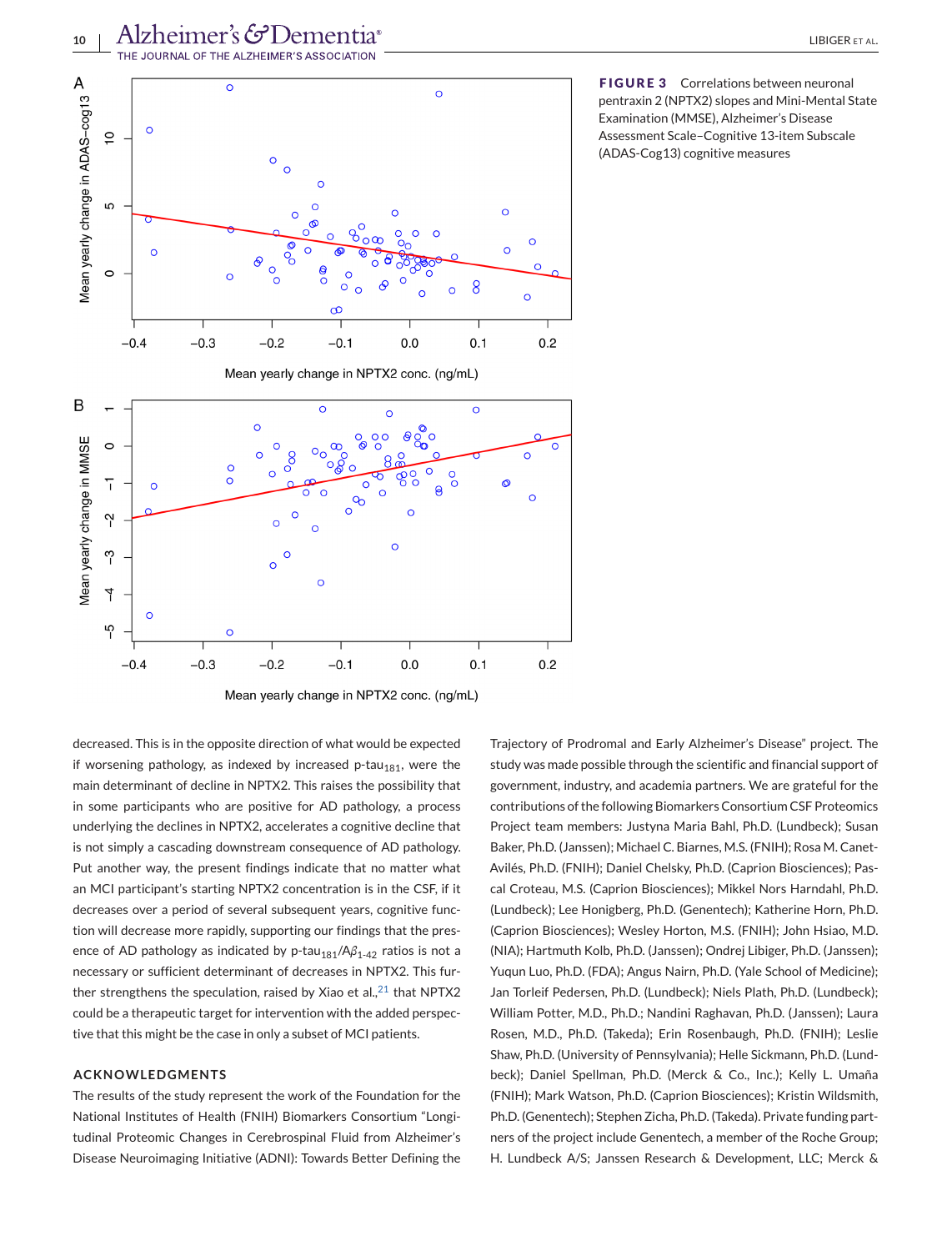<span id="page-9-0"></span>



**FIGURE 3** Correlations between neuronal pentraxin 2 (NPTX2) slopes and Mini-Mental State Examination (MMSE), Alzheimer's Disease Assessment Scale–Cognitive 13-item Subscale (ADAS-Cog13) cognitive measures

decreased. This is in the opposite direction of what would be expected if worsening pathology, as indexed by increased  $p$ -tau<sub>181</sub>, were the main determinant of decline in NPTX2. This raises the possibility that in some participants who are positive for AD pathology, a process underlying the declines in NPTX2, accelerates a cognitive decline that is not simply a cascading downstream consequence of AD pathology. Put another way, the present findings indicate that no matter what an MCI participant's starting NPTX2 concentration is in the CSF, if it decreases over a period of several subsequent years, cognitive function will decrease more rapidly, supporting our findings that the presence of AD pathology as indicated by p-tau<sub>181</sub>/Aβ<sub>1-42</sub> ratios is not a necessary or sufficient determinant of decreases in NPTX2. This further strengthens the speculation, raised by Xiao et al., $21$  that NPTX2 could be a therapeutic target for intervention with the added perspective that this might be the case in only a subset of MCI patients.

#### **ACKNOWLEDGMENTS**

The results of the study represent the work of the Foundation for the National Institutes of Health (FNIH) Biomarkers Consortium "Longitudinal Proteomic Changes in Cerebrospinal Fluid from Alzheimer's Disease Neuroimaging Initiative (ADNI): Towards Better Defining the

Trajectory of Prodromal and Early Alzheimer's Disease" project. The study was made possible through the scientific and financial support of government, industry, and academia partners. We are grateful for the contributions of the following Biomarkers Consortium CSF Proteomics Project team members: Justyna Maria Bahl, Ph.D. (Lundbeck); Susan Baker, Ph.D. (Janssen); Michael C. Biarnes, M.S. (FNIH); Rosa M. Canet-Avilés, Ph.D. (FNIH); Daniel Chelsky, Ph.D. (Caprion Biosciences); Pascal Croteau, M.S. (Caprion Biosciences); Mikkel Nors Harndahl, Ph.D. (Lundbeck); Lee Honigberg, Ph.D. (Genentech); Katherine Horn, Ph.D. (Caprion Biosciences); Wesley Horton, M.S. (FNIH); John Hsiao, M.D. (NIA); Hartmuth Kolb, Ph.D. (Janssen); Ondrej Libiger, Ph.D. (Janssen); Yuqun Luo, Ph.D. (FDA); Angus Nairn, Ph.D. (Yale School of Medicine); Jan Torleif Pedersen, Ph.D. (Lundbeck); Niels Plath, Ph.D. (Lundbeck); William Potter, M.D., Ph.D.; Nandini Raghavan, Ph.D. (Janssen); Laura Rosen, M.D., Ph.D. (Takeda); Erin Rosenbaugh, Ph.D. (FNIH); Leslie Shaw, Ph.D. (University of Pennsylvania); Helle Sickmann, Ph.D. (Lundbeck); Daniel Spellman, Ph.D. (Merck & Co., Inc.); Kelly L. Umaña (FNIH); Mark Watson, Ph.D. (Caprion Biosciences); Kristin Wildsmith, Ph.D. (Genentech); Stephen Zicha, Ph.D. (Takeda). Private funding partners of the project include Genentech, a member of the Roche Group; H. Lundbeck A/S; Janssen Research & Development, LLC; Merck &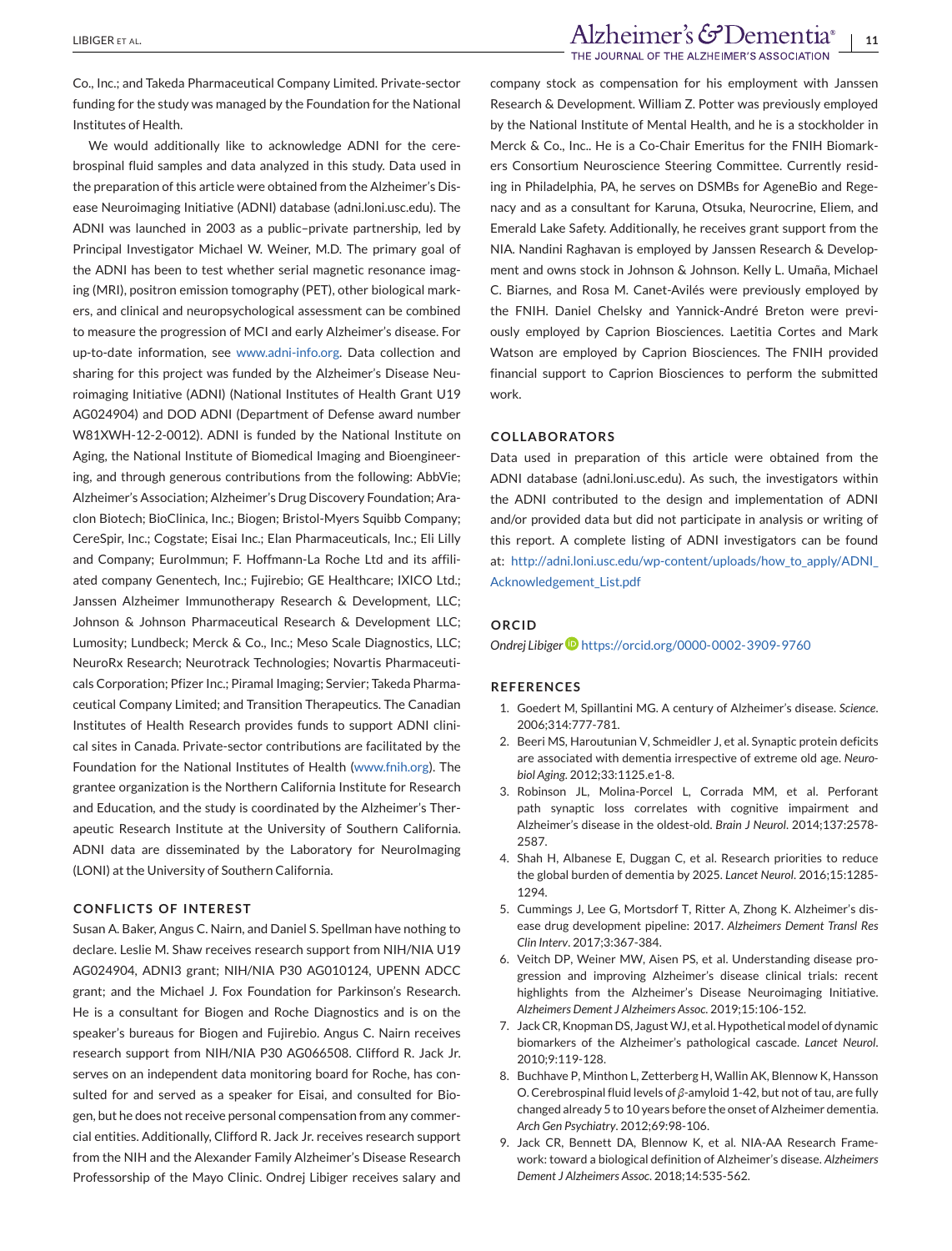<span id="page-10-0"></span>Co., Inc.; and Takeda Pharmaceutical Company Limited. Private-sector funding for the study was managed by the Foundation for the National Institutes of Health.

We would additionally like to acknowledge ADNI for the cerebrospinal fluid samples and data analyzed in this study. Data used in the preparation of this article were obtained from the Alzheimer's Disease Neuroimaging Initiative (ADNI) database (adni.loni.usc.edu). The ADNI was launched in 2003 as a public–private partnership, led by Principal Investigator Michael W. Weiner, M.D. The primary goal of the ADNI has been to test whether serial magnetic resonance imaging (MRI), positron emission tomography (PET), other biological markers, and clinical and neuropsychological assessment can be combined to measure the progression of MCI and early Alzheimer's disease. For up-to-date information, see [www.adni-info.org.](http://www.adni-info.org) Data collection and sharing for this project was funded by the Alzheimer's Disease Neuroimaging Initiative (ADNI) (National Institutes of Health Grant U19 AG024904) and DOD ADNI (Department of Defense award number W81XWH-12-2-0012). ADNI is funded by the National Institute on Aging, the National Institute of Biomedical Imaging and Bioengineering, and through generous contributions from the following: AbbVie; Alzheimer's Association; Alzheimer's Drug Discovery Foundation; Araclon Biotech; BioClinica, Inc.; Biogen; Bristol-Myers Squibb Company; CereSpir, Inc.; Cogstate; Eisai Inc.; Elan Pharmaceuticals, Inc.; Eli Lilly and Company; EuroImmun; F. Hoffmann-La Roche Ltd and its affiliated company Genentech, Inc.; Fujirebio; GE Healthcare; IXICO Ltd.; Janssen Alzheimer Immunotherapy Research & Development, LLC; Johnson & Johnson Pharmaceutical Research & Development LLC; Lumosity; Lundbeck; Merck & Co., Inc.; Meso Scale Diagnostics, LLC; NeuroRx Research; Neurotrack Technologies; Novartis Pharmaceuticals Corporation; Pfizer Inc.; Piramal Imaging; Servier; Takeda Pharmaceutical Company Limited; and Transition Therapeutics. The Canadian Institutes of Health Research provides funds to support ADNI clinical sites in Canada. Private-sector contributions are facilitated by the Foundation for the National Institutes of Health [\(www.fnih.org\)](http://www.fnih.org). The grantee organization is the Northern California Institute for Research and Education, and the study is coordinated by the Alzheimer's Therapeutic Research Institute at the University of Southern California. ADNI data are disseminated by the Laboratory for NeuroImaging (LONI) at the University of Southern California.

#### **CONFLICTS OF INTEREST**

Susan A. Baker, Angus C. Nairn, and Daniel S. Spellman have nothing to declare. Leslie M. Shaw receives research support from NIH/NIA U19 AG024904, ADNI3 grant; NIH/NIA P30 AG010124, UPENN ADCC grant; and the Michael J. Fox Foundation for Parkinson's Research. He is a consultant for Biogen and Roche Diagnostics and is on the speaker's bureaus for Biogen and Fujirebio. Angus C. Nairn receives research support from NIH/NIA P30 AG066508. Clifford R. Jack Jr. serves on an independent data monitoring board for Roche, has consulted for and served as a speaker for Eisai, and consulted for Biogen, but he does not receive personal compensation from any commercial entities. Additionally, Clifford R. Jack Jr. receives research support from the NIH and the Alexander Family Alzheimer's Disease Research Professorship of the Mayo Clinic. Ondrej Libiger receives salary and

company stock as compensation for his employment with Janssen Research & Development. William Z. Potter was previously employed by the National Institute of Mental Health, and he is a stockholder in Merck & Co., Inc.. He is a Co-Chair Emeritus for the FNIH Biomarkers Consortium Neuroscience Steering Committee. Currently residing in Philadelphia, PA, he serves on DSMBs for AgeneBio and Regenacy and as a consultant for Karuna, Otsuka, Neurocrine, Eliem, and Emerald Lake Safety. Additionally, he receives grant support from the NIA. Nandini Raghavan is employed by Janssen Research & Development and owns stock in Johnson & Johnson. Kelly L. Umaña, Michael C. Biarnes, and Rosa M. Canet-Avilés were previously employed by the FNIH. Daniel Chelsky and Yannick-André Breton were previously employed by Caprion Biosciences. Laetitia Cortes and Mark Watson are employed by Caprion Biosciences. The FNIH provided financial support to Caprion Biosciences to perform the submitted work.

#### **COLLABORATORS**

Data used in preparation of this article were obtained from the ADNI database (adni.loni.usc.edu). As such, the investigators within the ADNI contributed to the design and implementation of ADNI and/or provided data but did not participate in analysis or writing of this report. A complete listing of ADNI investigators can be found at: [http://adni.loni.usc.edu/wp-content/uploads/how\\_to\\_apply/ADNI\\_](http://adni.loni.usc.edu/wp-content/uploads/how_to_apply/ADNI_Acknowledgement_List.pdf) [Acknowledgement\\_List.pdf](http://adni.loni.usc.edu/wp-content/uploads/how_to_apply/ADNI_Acknowledgement_List.pdf)

## **ORCID**

*Ondrej Libiger* <https://orcid.org/0000-0002-3909-9760>

#### **REFERENCES**

- 1. Goedert M, Spillantini MG. A century of Alzheimer's disease. *Science*. 2006;314:777-781.
- 2. Beeri MS, Haroutunian V, Schmeidler J, et al. Synaptic protein deficits are associated with dementia irrespective of extreme old age. *Neurobiol Aging*. 2012;33:1125.e1-8.
- 3. Robinson JL, Molina-Porcel L, Corrada MM, et al. Perforant path synaptic loss correlates with cognitive impairment and Alzheimer's disease in the oldest-old. *Brain J Neurol*. 2014;137:2578- 2587.
- 4. Shah H, Albanese E, Duggan C, et al. Research priorities to reduce the global burden of dementia by 2025. *Lancet Neurol*. 2016;15:1285- 1294.
- 5. Cummings J, Lee G, Mortsdorf T, Ritter A, Zhong K. Alzheimer's disease drug development pipeline: 2017. *Alzheimers Dement Transl Res Clin Interv*. 2017;3:367-384.
- 6. Veitch DP, Weiner MW, Aisen PS, et al. Understanding disease progression and improving Alzheimer's disease clinical trials: recent highlights from the Alzheimer's Disease Neuroimaging Initiative. *Alzheimers Dement J Alzheimers Assoc*. 2019;15:106-152.
- 7. Jack CR, Knopman DS, Jagust WJ, et al. Hypothetical model of dynamic biomarkers of the Alzheimer's pathological cascade. *Lancet Neurol*. 2010;9:119-128.
- 8. Buchhave P, Minthon L, Zetterberg H, Wallin AK, Blennow K, Hansson O. Cerebrospinal fluid levels of *β*-amyloid 1-42, but not of tau, are fully changed already 5 to 10 years before the onset of Alzheimer dementia. *Arch Gen Psychiatry*. 2012;69:98-106.
- 9. Jack CR, Bennett DA, Blennow K, et al. NIA-AA Research Framework: toward a biological definition of Alzheimer's disease. *Alzheimers Dement J Alzheimers Assoc*. 2018;14:535-562.